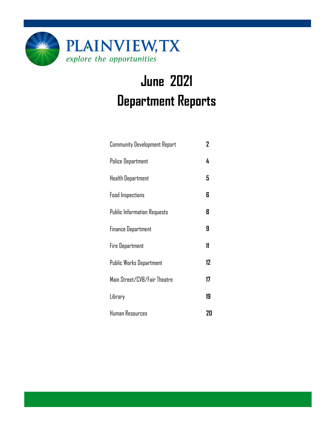

# **June 2021 Department Reports**

| <b>Community Development Report</b> | 2  |
|-------------------------------------|----|
| <b>Police Department</b>            | 4  |
| Health Department                   | 5  |
| <b>Food Inspections</b>             | 6  |
| <b>Public Information Requests</b>  | 8  |
| <b>Finance Department</b>           | 9  |
| <b>Fire Department</b>              | 11 |
| Public Works Department             | 12 |
| Main Street/CVB/Fair Theatre        | 17 |
| Library                             | 19 |
| Human Resources                     | 20 |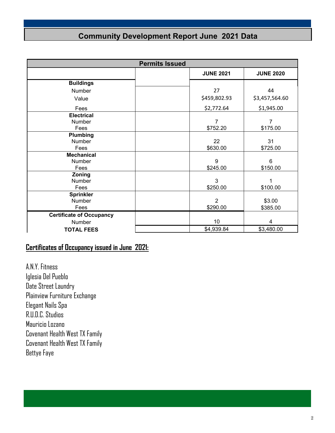### **Community Development Report June 2021 Data**

| <b>Permits Issued</b>           |  |                  |                  |  |
|---------------------------------|--|------------------|------------------|--|
|                                 |  | <b>JUNE 2021</b> | <b>JUNE 2020</b> |  |
| <b>Buildings</b>                |  |                  |                  |  |
| Number                          |  | 27               | 44               |  |
| Value                           |  | \$459,802.93     | \$3,457,564.60   |  |
| Fees                            |  | \$2,772.64       | \$1,945.00       |  |
| <b>Electrical</b>               |  |                  |                  |  |
| Number                          |  | $\overline{7}$   | 7                |  |
| Fees                            |  | \$752.20         | \$175.00         |  |
| Plumbing                        |  |                  |                  |  |
| Number                          |  | 22               | 31               |  |
| Fees                            |  | \$630.00         | \$725.00         |  |
| <b>Mechanical</b>               |  |                  |                  |  |
| Number                          |  | 9                | 6                |  |
| Fees                            |  | \$245.00         | \$150.00         |  |
| Zoning                          |  |                  |                  |  |
| Number                          |  | 3                |                  |  |
| Fees                            |  | \$250.00         | \$100.00         |  |
| <b>Sprinkler</b>                |  |                  |                  |  |
| Number                          |  | $\overline{2}$   | \$3.00           |  |
| Fees                            |  | \$290.00         | \$385.00         |  |
| <b>Certificate of Occupancy</b> |  |                  |                  |  |
| Number                          |  | 10               | 4                |  |
| <b>TOTAL FEES</b>               |  | \$4,939.84       | \$3,480.00       |  |

### **Certificates of Occupancy issued in June 2021:**

A.N.Y. Fitness Iglesia Del Pueblo Date Street Laundry Plainview Furniture Exchange Elegant Nails Spa R.U.D.C. Studios Mauricio Lozano Covenant Health West TX Family Covenant Health West TX Family Bettye Faye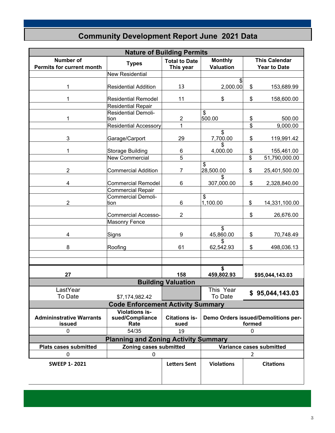### **Community Development Report June 2021 Data**

| <b>Nature of Building Permits</b>                    |                                                  |                                   |                                    |                                             |  |  |
|------------------------------------------------------|--------------------------------------------------|-----------------------------------|------------------------------------|---------------------------------------------|--|--|
| <b>Number of</b><br><b>Permits for current month</b> | <b>Types</b>                                     | <b>Total to Date</b><br>This year | <b>Monthly</b><br><b>Valuation</b> | <b>This Calendar</b><br><b>Year to Date</b> |  |  |
|                                                      | <b>New Residential</b>                           |                                   |                                    |                                             |  |  |
| 1                                                    | <b>Residential Addition</b>                      | 13                                | \$<br>2,000.00                     | \$<br>153,689.99                            |  |  |
| 1                                                    | <b>Residential Remodel</b><br>Residential Repair | 11                                | \$                                 | \$<br>158,600.00                            |  |  |
| 1                                                    | <b>Residential Demoli-</b><br>tion               | $\overline{c}$                    | \$<br>500.00                       | 500.00<br>\$                                |  |  |
|                                                      | <b>Residential Accessory</b>                     | 1                                 |                                    | \$<br>9,000.00                              |  |  |
| $\mathbf{3}$                                         | Garage/Carport                                   | 29                                | \$<br>7,700.00                     | \$<br>119,991.42                            |  |  |
| 1                                                    | <b>Storage Building</b>                          | 6                                 | \$<br>4,000.00                     | \$<br>155,461.00                            |  |  |
|                                                      | New Commercial                                   | 5                                 |                                    | \$<br>51,790,000.00                         |  |  |
| $\overline{2}$                                       | <b>Commercial Addition</b>                       | 7                                 | \$<br>28,500.00                    | \$<br>25,401,500.00                         |  |  |
| 4                                                    | <b>Commercial Remodel</b>                        | 6                                 | \$<br>307,000.00                   | \$<br>2,328,840.00                          |  |  |
|                                                      | <b>Commercial Repair</b>                         |                                   |                                    |                                             |  |  |
| $\overline{2}$                                       | <b>Commercial Demoli-</b><br>ltion               | 6                                 | \$<br>1,100.00                     | \$<br>14,331,100.00                         |  |  |
|                                                      | <b>Commercial Accesso-</b>                       | $\overline{2}$                    |                                    | \$<br>26,676.00                             |  |  |
|                                                      | <b>Masonry Fence</b>                             |                                   | \$                                 |                                             |  |  |
| 4                                                    | Signs                                            | 9                                 | 45,860.00                          | \$<br>70,748.49                             |  |  |
| 8                                                    | Roofing                                          | 61                                | 62,542.93                          | \$<br>498,036.13                            |  |  |
|                                                      |                                                  |                                   |                                    |                                             |  |  |
| 27                                                   |                                                  | 158                               | \$<br>459,802.93                   | \$95,044,143.03                             |  |  |
|                                                      |                                                  | <b>Building Valuation</b>         |                                    |                                             |  |  |
| LastYear<br>To Date                                  | \$7,174,982.42                                   |                                   | This Year<br>To Date               | \$95,044,143.03                             |  |  |
|                                                      | <b>Code Enforcement Activity Summary</b>         |                                   |                                    |                                             |  |  |
| <b>Admininstrative Warrants</b>                      | <b>Violations is-</b><br>sued/Compliance         | <b>Citations is-</b>              |                                    | Demo Orders issued/Demolitions per-         |  |  |
| issued                                               | Rate                                             | sued                              |                                    | formed                                      |  |  |
| 0                                                    | 54/35                                            | 19                                |                                    | 0                                           |  |  |
|                                                      | <b>Planning and Zoning Activity Summary</b>      |                                   |                                    |                                             |  |  |
| <b>Plats cases submitted</b>                         | Zoning cases submitted                           |                                   |                                    | Variance cases submitted                    |  |  |
| 0                                                    | 0                                                |                                   |                                    | $\overline{2}$                              |  |  |
| <b>SWEEP 1-2021</b>                                  |                                                  | <b>Letters Sent</b>               | <b>Violations</b>                  | <b>Citations</b>                            |  |  |
|                                                      |                                                  |                                   |                                    |                                             |  |  |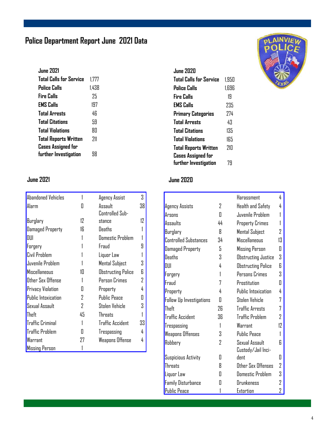### **Police Department Report June 2021 Data**

| <b>June 2021</b>             |       |
|------------------------------|-------|
| Total Calls for Service      | 1.777 |
| Police Calls                 | 1.438 |
| Fire Calls                   | 75    |
| <b>EMS Calls</b>             | 197   |
| <b>Total Arrests</b>         | 46    |
| <b>Total Citations</b>       | 59    |
| <b>Total Violations</b>      | ЯN    |
| <b>Total Reports Written</b> | 711   |
| <b>Cases Assigned for</b>    |       |
| further Investigation        | ЧХ    |

| <b>Abandoned Vehicles</b> |    | Agency Assist             | 3  |
|---------------------------|----|---------------------------|----|
| Alarm                     | П  | Assault                   | 38 |
|                           |    | Controlled Sub-           |    |
| Burglary                  | 12 | stance                    | 12 |
| <b>Damaged Property</b>   | 16 | Deaths                    |    |
| DUI                       |    | <b>Domestic Problem</b>   |    |
| Forgery                   |    | Fraud                     | 9  |
| Civil Problem             |    | Liquor Law                |    |
| Juvenile Problem          |    | Mental Subject            | 3  |
| Miscellaneous             | 10 | <b>Obstructing Police</b> | 6  |
| Other Sex Offense         |    | Person Crimes             | 2  |
| <b>Privacy Violation</b>  | П  | Property                  | 4  |
| Public Intoxication       | 2  | <b>Public Peace</b>       | П  |
| Sexual Assault            | 2  | Stolen Vehicle            | 3  |
| Theft                     | 45 | <b>Threats</b>            |    |
| <b>Traffic Criminal</b>   |    | <b>Traffic Accident</b>   | 33 |
| <b>Traffic Problem</b>    | П  | Trespassing               | 4  |
| Warrant                   | 27 | Weapons Offense           | 4  |
| <b>Missing Person</b>     |    |                           |    |

| <b>June 2020</b>               |       |
|--------------------------------|-------|
| <b>Total Calls for Service</b> | 1.950 |
| Police Calls                   | 1.696 |
| Fire Calls                     | 19    |
| <b>EMS Calls</b>               | 235   |
| <b>Primary Categories</b>      | 774   |
| <b>Total Arrests</b>           | 43    |
| <b>Total Citations</b>         | 135   |
| <b>Total Violations</b>        | 165   |
| <b>Total Reports Written</b>   | 21Π   |
| <b>Cases Assigned for</b>      |       |
| further Investigation          | 79    |

### **June 2021 June 2020**

|                                 |    | Harassment                 | 4  |
|---------------------------------|----|----------------------------|----|
| Agency Assists                  | 2  | Health and Safety          | 4  |
| Arsons                          | Π  | Juvenile Problem           |    |
| Assaults                        | 44 | Property Crimes            |    |
| Burglary                        | Я  | <b>Mental Subject</b>      | 7  |
| <b>Controlled Substances</b>    | 34 | <b>Miscellaneous</b>       | 13 |
| <b>Damaged Property</b>         | 5  | Missing Person             | Π  |
| <b>Deaths</b>                   | 3  | Obstructing Justice        | 3  |
| DUI                             | 4  | <b>Obstructing Police</b>  | R  |
| Forgery                         | 1  | Persons Crimes             | 3  |
| Fraud                           | 7  | Prostitution               | Π  |
| Property                        | 4  | <b>Public Intoxication</b> | 4  |
| <b>Follow Up Investigations</b> | Π  | Stolen Vehicle             | 7  |
| Theft                           | 7Б | <b>Traffic Arrests</b>     | 7  |
| <b>Traffic Accident</b>         | 36 | <b>Traffic Problem</b>     | 7  |
| Trespassing                     | 1  | Warrant                    | 17 |
| <b>Weapons Offenses</b>         | Χ  | <b>Public Peace</b>        | 1  |
| Robbery                         | 7  | Sexual Assault             | R  |
|                                 |    | Custody/Jail Inci-         |    |
| <b>Suspicious Activity</b>      | П  | dent                       | П  |
| Threats                         | 8  | Other Sex Offenses         | 2  |
| Liquor Law                      | П  | <b>Domestic Problem</b>    | 3  |
| <b>Family Disturbance</b>       | П  | Drunkeness                 | 7  |
| <b>Public Peace</b>             |    | Extortion                  | 2  |

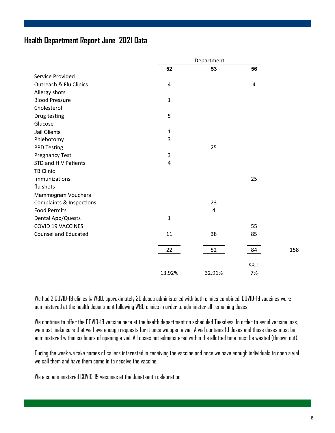#### **Health Department Report June 2021 Data**

|                                     |              | Department     |                |     |  |
|-------------------------------------|--------------|----------------|----------------|-----|--|
|                                     | 52           | 53             | 56             |     |  |
| Service Provided                    |              |                |                |     |  |
| <b>Outreach &amp; Flu Clinics</b>   | $\pmb{4}$    |                | $\overline{a}$ |     |  |
| Allergy shots                       |              |                |                |     |  |
| <b>Blood Pressure</b>               | $\mathbf{1}$ |                |                |     |  |
| Cholesterol                         |              |                |                |     |  |
| Drug testing                        | 5            |                |                |     |  |
| Glucose                             |              |                |                |     |  |
| <b>Jail Clients</b>                 | $\mathbf{1}$ |                |                |     |  |
| Phlebotomy                          | 3            |                |                |     |  |
| <b>PPD Testing</b>                  |              | 25             |                |     |  |
| <b>Pregnancy Test</b>               | 3            |                |                |     |  |
| STD and HIV Patients                | 4            |                |                |     |  |
| <b>TB Clinic</b>                    |              |                |                |     |  |
| Immunizations                       |              |                | 25             |     |  |
| flu shots                           |              |                |                |     |  |
| Mammogram Vouchers                  |              |                |                |     |  |
| <b>Complaints &amp; Inspections</b> |              | 23             |                |     |  |
| <b>Food Permits</b>                 |              | $\overline{4}$ |                |     |  |
| Dental App/Quests                   | 1            |                |                |     |  |
| <b>COVID 19 VACCINES</b>            |              |                | 55             |     |  |
| <b>Counsel and Educated</b>         | 11           | 38             | 85             |     |  |
|                                     | 22           | 52             | 84             | 158 |  |
|                                     |              |                |                |     |  |
|                                     |              |                | 53.1           |     |  |
|                                     | 13.92%       | 32.91%         | 7%             |     |  |

We had 2 COVID-19 clinics @ WBU, approximately 30 doses administered with both clinics combined. COVID-19 vaccines were administered at the health department following WBU clinics in order to administer all remaining doses.

We continue to offer the COVID-19 vaccine here at the health department on scheduled Tuesdays. In order to avoid vaccine loss, we must make sure that we have enough requests for it once we open a vial. A vial contains 10 doses and those doses must be administered within six hours of opening a vial. All doses not administered within the allotted time must be wasted (thrown out).

During the week we take names of callers interested in receiving the vaccine and once we have enough individuals to open a vial we call them and have them come in to receive the vaccine.

We also administered COVID-19 vaccines at the Juneteenth celebration.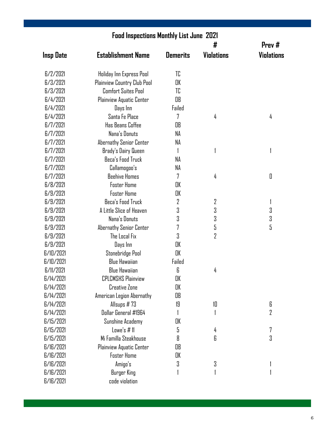| <b>Food Inspections Monthly List June 2021</b> |                                    |                 |                   |                                                                                                                                                                                                                                                                                                                                                                                                                                                                                                                                                                                                                                                                                                                                    |  |  |
|------------------------------------------------|------------------------------------|-----------------|-------------------|------------------------------------------------------------------------------------------------------------------------------------------------------------------------------------------------------------------------------------------------------------------------------------------------------------------------------------------------------------------------------------------------------------------------------------------------------------------------------------------------------------------------------------------------------------------------------------------------------------------------------------------------------------------------------------------------------------------------------------|--|--|
|                                                |                                    |                 | #                 | Prev#                                                                                                                                                                                                                                                                                                                                                                                                                                                                                                                                                                                                                                                                                                                              |  |  |
| <b>Insp Date</b>                               | <b>Establishment Name</b>          | <b>Demerits</b> | <b>Violations</b> | <b>Violations</b>                                                                                                                                                                                                                                                                                                                                                                                                                                                                                                                                                                                                                                                                                                                  |  |  |
| 6/2/2021                                       | Holiday Inn Express Pool           | TC              |                   |                                                                                                                                                                                                                                                                                                                                                                                                                                                                                                                                                                                                                                                                                                                                    |  |  |
| 6/3/2021                                       | <b>Plainview Country Club Pool</b> | OK              |                   |                                                                                                                                                                                                                                                                                                                                                                                                                                                                                                                                                                                                                                                                                                                                    |  |  |
| 6/3/2021                                       | <b>Comfort Suites Pool</b>         | TC              |                   |                                                                                                                                                                                                                                                                                                                                                                                                                                                                                                                                                                                                                                                                                                                                    |  |  |
| 6/4/2021                                       | Plainview Aquatic Center           | OB              |                   |                                                                                                                                                                                                                                                                                                                                                                                                                                                                                                                                                                                                                                                                                                                                    |  |  |
| 6/4/2021                                       | Days Inn                           | Failed          |                   |                                                                                                                                                                                                                                                                                                                                                                                                                                                                                                                                                                                                                                                                                                                                    |  |  |
| 6/4/2021                                       | Santa Fe Place                     | 7               | 4                 | 4                                                                                                                                                                                                                                                                                                                                                                                                                                                                                                                                                                                                                                                                                                                                  |  |  |
| 6/7/2021                                       | <b>Has Beans Coffee</b>            | OB              |                   |                                                                                                                                                                                                                                                                                                                                                                                                                                                                                                                                                                                                                                                                                                                                    |  |  |
| 6/7/2021                                       | Nana's Donuts                      | NA              |                   |                                                                                                                                                                                                                                                                                                                                                                                                                                                                                                                                                                                                                                                                                                                                    |  |  |
| 6/7/2021                                       | Abernathy Senior Center            | NA              |                   |                                                                                                                                                                                                                                                                                                                                                                                                                                                                                                                                                                                                                                                                                                                                    |  |  |
| 6/7/2021                                       | Brady's Dairy Queen                |                 |                   |                                                                                                                                                                                                                                                                                                                                                                                                                                                                                                                                                                                                                                                                                                                                    |  |  |
| 6/7/2021                                       | Beca's Food Truck                  | NA              |                   |                                                                                                                                                                                                                                                                                                                                                                                                                                                                                                                                                                                                                                                                                                                                    |  |  |
| 6/7/2021                                       | Callamogoo's                       | NΑ              |                   |                                                                                                                                                                                                                                                                                                                                                                                                                                                                                                                                                                                                                                                                                                                                    |  |  |
| 6/7/2021                                       | <b>Beehive Homes</b>               | 7               | 4                 | $[] \centering \includegraphics[width=0.47\textwidth]{images/TrDiM-Architecture.png} \caption{The first two different values of $A$ and $A$ is the same as in Figure \ref{fig:map}(a) and the second two different values of $A$ and $B$ is the same as in Figure \ref{fig:map}(b) and the third two different values of $A$ and $B$ is the same as in Figure \ref{fig:map}(c) and the third two different values of $A$ and $B$ is the same as inFigure \ref{fig:map}(d) and the third two different values of $A$ and $B$ is the same as inFigure \ref{fig:map}(e) and the third two different values of $A$ and $B$ is the same as inFigure \ref{fig:map}(e) and the third two different values of $A$ is the same as inFigure$ |  |  |
| 6/8/2021                                       | <b>Foster Home</b>                 | OK              |                   |                                                                                                                                                                                                                                                                                                                                                                                                                                                                                                                                                                                                                                                                                                                                    |  |  |
| 6/9/2021                                       | <b>Foster Home</b>                 | OK              |                   |                                                                                                                                                                                                                                                                                                                                                                                                                                                                                                                                                                                                                                                                                                                                    |  |  |
| 6/9/2021                                       | Beca's Food Truck                  | 2               | $\overline{2}$    | 1                                                                                                                                                                                                                                                                                                                                                                                                                                                                                                                                                                                                                                                                                                                                  |  |  |
| 6/9/2021                                       | A Little Slice of Heaven           | 3               | 3                 | 3                                                                                                                                                                                                                                                                                                                                                                                                                                                                                                                                                                                                                                                                                                                                  |  |  |
| 6/9/2021                                       | Nana's Donuts                      | 3               | 3                 | 3                                                                                                                                                                                                                                                                                                                                                                                                                                                                                                                                                                                                                                                                                                                                  |  |  |
| 6/9/2021                                       | Abernathy Senior Center            | 7               | 5                 | 5                                                                                                                                                                                                                                                                                                                                                                                                                                                                                                                                                                                                                                                                                                                                  |  |  |
| 6/9/2021                                       | The Local Fix                      | 3               | 2                 |                                                                                                                                                                                                                                                                                                                                                                                                                                                                                                                                                                                                                                                                                                                                    |  |  |
| 6/9/2021                                       | Days Inn                           | OK              |                   |                                                                                                                                                                                                                                                                                                                                                                                                                                                                                                                                                                                                                                                                                                                                    |  |  |
| 6/10/2021                                      | Stonebridge Pool                   | OK              |                   |                                                                                                                                                                                                                                                                                                                                                                                                                                                                                                                                                                                                                                                                                                                                    |  |  |
| 6/10/2021                                      | <b>Blue Hawaiian</b>               | Failed          |                   |                                                                                                                                                                                                                                                                                                                                                                                                                                                                                                                                                                                                                                                                                                                                    |  |  |
| 6/11/2021                                      | <b>Blue Hawaiian</b>               | 6               | 4                 |                                                                                                                                                                                                                                                                                                                                                                                                                                                                                                                                                                                                                                                                                                                                    |  |  |
| 6/14/2021                                      | <b>CPLCMSHS Plainview</b>          | OK              |                   |                                                                                                                                                                                                                                                                                                                                                                                                                                                                                                                                                                                                                                                                                                                                    |  |  |
| 6/14/2021                                      | <b>Creative Zone</b>               | OK              |                   |                                                                                                                                                                                                                                                                                                                                                                                                                                                                                                                                                                                                                                                                                                                                    |  |  |
| 6/14/2021                                      | American Legion Abernathy          | OB              |                   |                                                                                                                                                                                                                                                                                                                                                                                                                                                                                                                                                                                                                                                                                                                                    |  |  |
| 6/14/2021                                      | Allsups $# 73$                     | 19              | 10                | 6                                                                                                                                                                                                                                                                                                                                                                                                                                                                                                                                                                                                                                                                                                                                  |  |  |
| 6/14/2021                                      | Dollar General #1964               | 1               |                   | 2                                                                                                                                                                                                                                                                                                                                                                                                                                                                                                                                                                                                                                                                                                                                  |  |  |
| 6/15/2021                                      | Sunshine Academy                   | OK              |                   |                                                                                                                                                                                                                                                                                                                                                                                                                                                                                                                                                                                                                                                                                                                                    |  |  |
| 6/15/2021                                      | Lowe's $#$ 11                      | 5               | 4                 | 7                                                                                                                                                                                                                                                                                                                                                                                                                                                                                                                                                                                                                                                                                                                                  |  |  |
| 6/15/2021                                      | Mi Familla Steakhouse              | 8               | 6                 | 3                                                                                                                                                                                                                                                                                                                                                                                                                                                                                                                                                                                                                                                                                                                                  |  |  |
| 6/16/2021                                      | Plainview Aquatic Center           | OB              |                   |                                                                                                                                                                                                                                                                                                                                                                                                                                                                                                                                                                                                                                                                                                                                    |  |  |
| 6/16/2021                                      | <b>Foster Home</b>                 | OK              |                   |                                                                                                                                                                                                                                                                                                                                                                                                                                                                                                                                                                                                                                                                                                                                    |  |  |
| 6/16/2021                                      | Amigo's                            | 3               | 3                 |                                                                                                                                                                                                                                                                                                                                                                                                                                                                                                                                                                                                                                                                                                                                    |  |  |
| 6/16/2021                                      | Burger King                        |                 |                   |                                                                                                                                                                                                                                                                                                                                                                                                                                                                                                                                                                                                                                                                                                                                    |  |  |
| 6/16/2021                                      | code violation                     |                 |                   |                                                                                                                                                                                                                                                                                                                                                                                                                                                                                                                                                                                                                                                                                                                                    |  |  |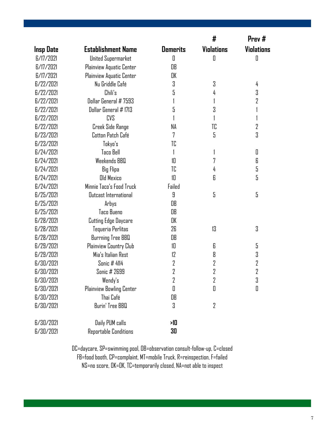|                  |                             |                 | #                 | Prev#             |
|------------------|-----------------------------|-----------------|-------------------|-------------------|
| <b>Insp Date</b> | <b>Establishment Name</b>   | <b>Demerits</b> | <b>Violations</b> | <b>Violations</b> |
| 6/17/2021        | United Supermarket          | $\mathbf 0$     | $\mathbf 0$       | $\mathsf{r}$      |
| 6/17/2021        | Plainview Aquatic Center    | OB              |                   |                   |
| 6/17/2021        | Plainview Aquatic Center    | OK              |                   |                   |
| 6/22/2021        | Nu Griddle Café             | 3               | 3                 | 4                 |
| 6/22/2021        | Chili's                     | 5               | 4                 | 3                 |
| 6/22/2021        | Dollar General # 7593       |                 | 1                 | 2                 |
| 6/22/2021        | Dollar General # 1713       | 5               | 3                 |                   |
| 6/22/2021        | <b>CVS</b>                  |                 |                   |                   |
| 6/22/2021        | Creek Side Range            | NΑ              | TC                | 2                 |
| 6/23/2021        | Cotton Patch Café           | 7               | 5                 | 3                 |
| 6/23/2021        | Tokyo's                     | TC              |                   |                   |
| 6/24/2021        | <b>Taco Bell</b>            |                 |                   | 0                 |
| 6/24/2021        | Weekends BBQ                | 10              | 7                 | 6                 |
| 6/24/2021        | <b>Big Flipa</b>            | TC              | 4                 | 5                 |
| 6/24/2021        | <b>Old Mexico</b>           | 10              | 6                 | 5                 |
| 6/24/2021        | Minnie Taco's Food Truck    | Failed          |                   |                   |
| 6/25/2021        | Outcast International       | 9               | 5                 | 5                 |
| 6/25/2021        | Arbys                       | OB              |                   |                   |
| 6/25/2021        | Taco Bueno                  | OB              |                   |                   |
| 6/28/2021        | <b>Cutting Edge Daycare</b> | OK              |                   |                   |
| 6/28/2021        | Tequeria Perlitas           | 26              | 13                | 3                 |
| 6/28/2021        | Burrning Tree BBQ           | OB              |                   |                   |
| 6/29/2021        | Plainview Country Club      | 10              | 6                 | 5                 |
| 6/29/2021        | Mia's Italian Rest          | 12              | 8                 | 3                 |
| 6/30/2021        | <b>Sonic # 4114</b>         | 2               | 2                 | 2                 |
| 6/30/2021        | Sonic # 2699                | 2               | 2                 | $\overline{2}$    |
| 6/30/2021        | Wendy's                     | 2               | 2                 | २<br>U            |
| 6/30/2021        | Plainview Bowling Center    | 0               | 0                 | 0                 |
| 6/30/2021        | Thai Café                   | OB              |                   |                   |
| 6/30/2021        | Burin' Tree BBQ             | 3               | $\overline{2}$    |                   |
| 6/30/2021        | Daily PUM calls             | 게               |                   |                   |
| 6/30/2021        | Reportable Conditions       | 30              |                   |                   |

DC=daycare, SP=swimming pool, OB=observation consult-follow-up, C=closed FB=food booth, CP=complaint, MT=mobile Truck, R=reinspection, F=failed NS=no score, OK=OK, TC=temporarily closed, NA=not able to inspect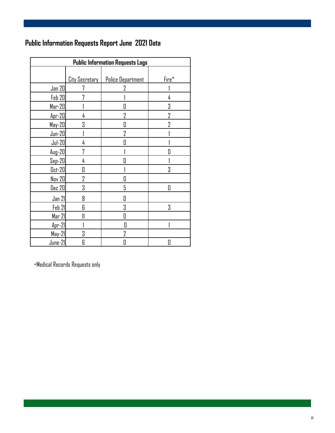### **Public Information Requests Report June 2021 Data**

| <b>Public Information Requests Logs</b> |                       |                   |       |  |
|-----------------------------------------|-----------------------|-------------------|-------|--|
|                                         |                       |                   |       |  |
|                                         | <b>City Secretary</b> | Police Department | Fire* |  |
| Jan 20                                  | 7                     | 7                 |       |  |
| Feb 20                                  |                       |                   | 4     |  |
| Mar-20                                  |                       | Π                 | 3     |  |
| $Apr-20$                                | 4                     | $\overline{2}$    | 2     |  |
| May-20                                  | 3                     | 0                 | 7     |  |
| $Jun-20$                                |                       | $\overline{2}$    |       |  |
| $Jul-20$                                | 4                     | Π                 |       |  |
| $Aug-20$                                | 7                     |                   |       |  |
| $Sep-20$                                | 4                     | П                 |       |  |
| $0ct-20$                                | 0                     |                   | 3     |  |
| <b>Nov 20</b>                           | 2                     | 0                 |       |  |
| <b>Dec 20</b>                           | 3                     | 5                 | П     |  |
| Jan 21                                  | 8                     | Π                 |       |  |
| Feb 21                                  | 6                     | 3                 | 3     |  |
| Mar 21                                  |                       | Π                 |       |  |
| $Apr-21$                                |                       | Π                 |       |  |
| May-21                                  | 3                     | 7                 |       |  |
| June-21                                 | 6                     | 0                 | O     |  |

\*Medical Records Requests only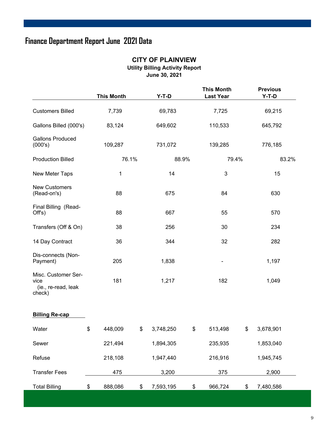### **Finance Department Report June 2021 Data**

#### **CITY OF PLAINVIEW Utility Billing Activity Report June 30, 2021**

|                                                              | <b>This Month</b> | $Y-T-D$         |       | <b>This Month</b><br><b>Last Year</b> | <b>Previous</b><br>$Y-T-D$ |  |
|--------------------------------------------------------------|-------------------|-----------------|-------|---------------------------------------|----------------------------|--|
| <b>Customers Billed</b>                                      | 7,739             | 69,783          |       | 7,725                                 | 69,215                     |  |
| Gallons Billed (000's)                                       | 83,124            | 649,602         |       | 110,533                               | 645,792                    |  |
| <b>Gallons Produced</b><br>(000's)                           | 109,287           | 731,072         |       | 139,285                               | 776,185                    |  |
| <b>Production Billed</b>                                     | 76.1%             |                 | 88.9% | 79.4%                                 | 83.2%                      |  |
| New Meter Taps                                               | 1                 | 14              |       | 3                                     | 15                         |  |
| <b>New Customers</b><br>(Read-on's)                          | 88                | 675             |       | 84                                    | 630                        |  |
| Final Billing (Read-<br>Offs)                                | 88                | 667             |       | 55                                    | 570                        |  |
| Transfers (Off & On)                                         | 38                | 256             |       | 30                                    | 234                        |  |
| 14 Day Contract                                              | 36                | 344             |       | 32                                    | 282                        |  |
| Dis-connects (Non-<br>Payment)                               | 205               | 1,838           |       | $\overline{\phantom{a}}$              | 1,197                      |  |
| Misc. Customer Ser-<br>vice<br>(ie., re-read, leak<br>check) | 181               | 1,217           |       | 182                                   | 1,049                      |  |
| <b>Billing Re-cap</b>                                        |                   |                 |       |                                       |                            |  |
| Water                                                        | \$<br>448,009     | \$<br>3,748,250 | \$    | 513,498                               | \$<br>3,678,901            |  |
| Sewer                                                        | 221,494           | 1,894,305       |       | 235,935                               | 1,853,040                  |  |
| Refuse                                                       | 218,108           | 1,947,440       |       | 216,916                               | 1,945,745                  |  |
| <b>Transfer Fees</b>                                         | 475               | 3,200           |       | 375                                   | 2,900                      |  |
| <b>Total Billing</b>                                         | \$<br>888,086     | \$<br>7,593,195 | \$    | 966,724                               | \$<br>7,480,586            |  |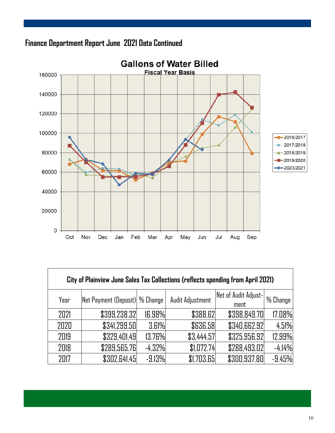

Г



| City of Plainview June Sales Tax Collections (reflects spending from April 2021) |                                 |          |                  |                              |          |  |
|----------------------------------------------------------------------------------|---------------------------------|----------|------------------|------------------------------|----------|--|
| Year                                                                             | Net Payment (Deposit)  % Change |          | Audit Adjustment | Net of Audit Adjust-<br>ment | % Change |  |
| 2021                                                                             | \$399,238.32                    | 16.98%   | \$388.62         | \$398,849.70                 | 17.08%   |  |
| 2020                                                                             | \$341,299.50                    | 3.61%    | <b>\$636.58</b>  | \$340,662.92                 | 4.51%    |  |
| 2019                                                                             | \$329,401.49                    | 13.76%   | \$3,444.57       | \$325,956.92                 | 12.99%   |  |
| 2018                                                                             | \$289,565.76                    | $-4.32%$ | \$1,072.74       | \$288,493.02                 | $-4.14%$ |  |
| 2017                                                                             | \$302,641.45                    | $-9.13%$ | \$1,703.65       | \$300,937.80                 | $-9.45%$ |  |

٦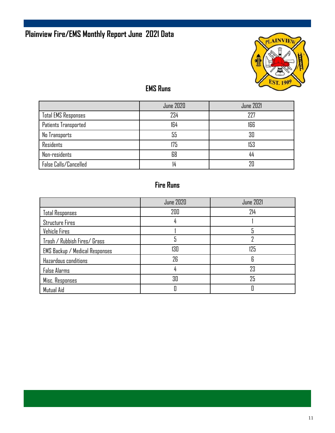## **Plainview Fire/EMS Monthly Report June 2021 Data**



### **EMS Runs**

|                            | <b>June 2020</b> | <b>June 2021</b> |
|----------------------------|------------------|------------------|
| <b>Total EMS Responses</b> | 234              | 227              |
| Patients Transported       | 164              | 166              |
| No Transports              | 55               | 30               |
| Residents                  | 175              | 153              |
| Non-residents              | 68               | 44               |
| False Calls/Cancelled      |                  | 7Π               |

### **Fire Runs**

|                                       | <b>June 2020</b> | <b>June 2021</b> |
|---------------------------------------|------------------|------------------|
| <b>Total Responses</b>                | 200              | 214              |
| <b>Structure Fires</b>                |                  |                  |
| Vehicle Fires                         |                  |                  |
| Trash / Rubbish Fires/ Grass          |                  |                  |
| <b>EMS Backup / Medical Responses</b> | 130              | 125              |
| Hazardous conditions                  | 26               | 6                |
| <b>False Alarms</b>                   | 4                | 23               |
| Misc. Responses                       | 30               | 25               |
| Mutual Aid                            |                  |                  |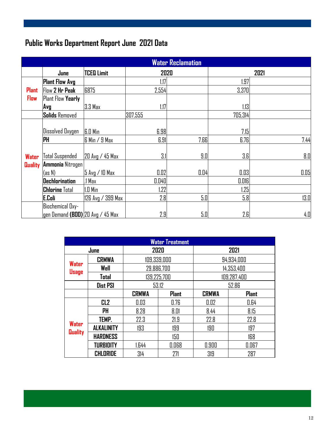### **Public Works Department Report June 2021 Data**

|                | <b>Water Reclamation</b>                 |                   |         |      |         |      |
|----------------|------------------------------------------|-------------------|---------|------|---------|------|
|                | June                                     | <b>TCEQ Limit</b> | 2020    |      |         | 2021 |
|                | <b>Plant Flow Avg</b>                    |                   | 1.17    |      | 1.97    |      |
| <b>Plant</b>   | Flow 2 Hr Peak                           | 6875              | 2,554   |      | 3,370   |      |
| <b>Flow</b>    | <b>Plant Flow Yearly</b>                 |                   |         |      |         |      |
|                | Avg                                      | 3.3 Max           | 1.17    |      | 1.13    |      |
|                | <b>Solids Removed</b>                    |                   | 307,555 |      | 705,314 |      |
|                | <b>Dissolved Oxygen</b>                  | <b>G.O Min</b>    | 6.98    |      | 7.15    |      |
|                | <b>PH</b>                                | $6$ Min / 9 Max   | 6.91    | 7.66 | 6.76    | 7.44 |
| <b>Water</b>   | Total Suspended                          | 20 Avg / 45 Max   | 3.1     | 9.0  | 3.6     | 8.0  |
| <b>Quality</b> | <b>Ammonia Nitrogen</b><br>(as N)        | 5 Avg / 10 Max    | 0.02    | 0.04 | 0.03    | 0.05 |
|                | Dechlorination                           | 1 Max             | 0.040   |      | 0.016   |      |
|                | <b>Chlorine</b> Total                    | $1.0$ Min         | 1.22    |      | 1.25    |      |
|                | E.Coli                                   | 126 Avg / 399 Max | 2.8     | 5.0  | 5.8     | 13.0 |
|                | <b>Biochemical Oxy-</b>                  |                   |         |      |         |      |
|                | $\vert$ gen Demand (BOD) 20 Avg / 45 Max |                   | 2.9     | 5.0  | 2.6     | 4.0  |

| <b>Water Treatment</b>  |                   |                           |              |              |              |  |
|-------------------------|-------------------|---------------------------|--------------|--------------|--------------|--|
| June                    |                   | 2020                      |              | 2021         |              |  |
|                         | <b>CRMWA</b>      | 109,339,000               |              | 94,934,000   |              |  |
| Water<br><b>Usage</b>   | Well              | 29,886,700<br>139,225,700 |              | 14,353,400   |              |  |
|                         | <b>Total</b>      |                           |              | 109,287,400  |              |  |
|                         | <b>Dist PSI</b>   | 53.12                     |              | 52.86        |              |  |
|                         |                   | <b>CRMWA</b>              | <b>Plant</b> | <b>CRMWA</b> | <b>Plant</b> |  |
|                         | CL <sub>2</sub>   | 0.03                      | 0.76         | 0.02         | 0.64         |  |
| Water<br><b>Quality</b> | PH                | 8.28                      | 8.01         | 8.44         | 8.15         |  |
|                         | TEMP.             | 22.3                      | 21.9         | 22.8         | 22.8         |  |
|                         | <b>ALKALINITY</b> | 193                       | 199          | 190          | 197          |  |
|                         | <b>HARDNESS</b>   |                           | 150          |              | 168          |  |
|                         | <b>TURBIDITY</b>  | 1.644                     | 0.068        | 0.900        | 0.067        |  |
|                         | CHLORIDE          | 314                       | 271          | 319          | 287          |  |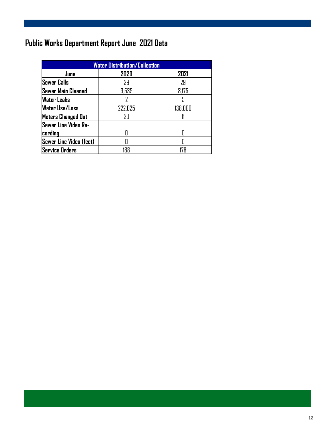### **Public Works Department Report June 2021 Data**

| <b>Water Distribution/Collection</b> |         |         |  |  |  |
|--------------------------------------|---------|---------|--|--|--|
| <b>June</b>                          | 2020    | 2021    |  |  |  |
| Sewer Calls                          | 39      | 29      |  |  |  |
| Sewer Main Cleaned                   | 9,535   | 8,175   |  |  |  |
| <b>Water Leaks</b>                   |         |         |  |  |  |
| <b>Water Use/Loss</b>                | 222,025 | 138,000 |  |  |  |
| <b>Meters Changed Out</b>            | 30      |         |  |  |  |
| Sewer Line Video Re-                 |         |         |  |  |  |
| cording                              |         |         |  |  |  |
| Sewer Line Video (feet)              |         |         |  |  |  |
| <b>Service Orders</b>                | 188     | 178     |  |  |  |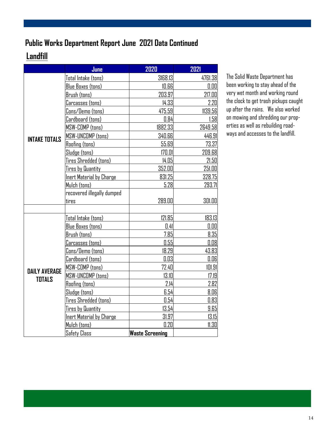### **Public Works Department Report June 2021 Data Continued**

### **Landfill**

|                      | June                            | 2020                   | 2021    |
|----------------------|---------------------------------|------------------------|---------|
|                      | Total Intake (tons)             | 3168.13                | 4761.38 |
|                      | <b>Blue Boxes (tons)</b>        | 10.66                  | 0.00    |
|                      | Brush (tons)                    | 203.97                 | 217.00  |
|                      | Carcasses (tons)                | 14.33                  | 2.20    |
|                      | Cons/Demo (tons)                | 475.59                 | 1139.56 |
|                      | Cardboard (tons)                | 0.84                   | 1.58    |
|                      | MSW-COMP (tons)                 | 1882.33                | 2649.58 |
| <b>INTAKE TOTALS</b> | MSW-UNCOMP (tons)               | 340.66                 | 446.91  |
|                      | <b>Roofing (tons)</b>           | 55.69                  | 73.37   |
|                      | Sludge (tons)                   | 170.01                 | 209.68  |
|                      | Tires Shredded (tons)           | 14.05                  | 21.50   |
|                      | <b>Tires by Quantity</b>        | 352.00                 | 251.00  |
|                      | <b>Inert Material by Charge</b> | 831.25                 | 328.75  |
|                      | Mulch (tons)                    | 5.28                   | 293.71  |
|                      | recovered illegally dumped      |                        |         |
|                      | tires                           | 289.00                 | 301.00  |
|                      |                                 |                        |         |
|                      | Total Intake (tons)             | 121.85                 | 183.13  |
|                      | Blue Boxes (tons)               | 0.41                   | 0.00    |
|                      | Brush (tons)                    | 7.85                   | 8.35    |
|                      | Carcasses (tons)                | 0.55                   | 0.08    |
|                      | Cons/Demo (tons)                | 18.29                  | 43.83   |
|                      | Cardboard (tons)                | 0.03                   | 0.06    |
| <b>DAILY AVERAGE</b> | <b>MSW-COMP</b> (tons)          | 72.40                  | 101.91  |
| <b>TOTALS</b>        | <b>MSW-UNCOMP</b> (tons)        | 13.10                  | 17.19   |
|                      | <b>Roofing (tons)</b>           | 2.14                   | 2.82    |
|                      | Sludge (tons)                   | 6.54                   | 8.06    |
|                      | Tires Shredded (tons)           | 0.54                   | 0.83    |
|                      | <b>Tires by Quantity</b>        | 13.54                  | 9.65    |
|                      | <b>Inert Material by Charge</b> | 31.97                  | 13.15   |
|                      | Mulch (tons)                    | 0.20                   | 11.30   |
|                      | <b>Safety Class</b>             | <b>Waste Screening</b> |         |

The Solid Waste Department has been working to stay ahead of the very wet month and working round the clock to get trash pickups caught up after the rains. We also worked on mowing and shredding our properties as well as rebuilding roadways and accesses to the landfill.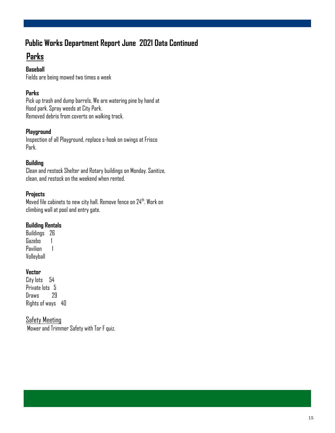### **Public Works Department Report June 2021 Data Continued**

### **Parks**

#### **Baseball**

Fields are being mowed two times a week

#### **Parks**

Pick up trash and dump barrels. We are watering pine by hand at Hood park. Spray weeds at City Park. Removed debris from coverts on walking track.

#### **Playground**

Inspection of all Playground, replace s-hook on swings at Frisco Park.

#### **Building**

Clean and restock Shelter and Rotary buildings on Monday. Sanitize, clean, and restock on the weekend when rented.

#### **Projects**

Moved file cabinets to new city hall. Remove fence on 24<sup>th</sup>. Work on climbing wall at pool and entry gate.

#### **Building Rentals**

Buildings 26 Gazebo 1 Pavilion 1 Volleyball

#### **Vector**

City lots 54 Private Ints 5 Draws 29 Rights of ways 40

#### Safety Meeting

Mower and Trimmer Safety with Tor F quiz.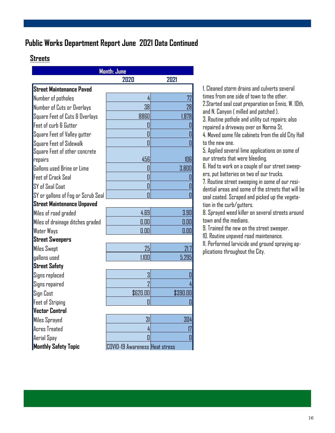### **Public Works Department Report June 2021 Data Continued**

#### **Streets**

| Month: June                        |                                |          |  |  |  |
|------------------------------------|--------------------------------|----------|--|--|--|
| 2020<br>2021                       |                                |          |  |  |  |
| Street Maintenance Paved           |                                |          |  |  |  |
| Number of potholes                 | 4                              | 72       |  |  |  |
| Number of Cuts or Overlays         | 38                             | 28       |  |  |  |
| Square Feet of Cuts & Overlays     | 8860                           | 1,878    |  |  |  |
| Feet of curb & Gutter              | II                             |          |  |  |  |
| Square Feet of Valley gutter       | 0                              |          |  |  |  |
| Square Feet of Sidewalk            |                                |          |  |  |  |
| Square Feet of other concrete      |                                |          |  |  |  |
| repairs                            | 456                            | 106      |  |  |  |
| Gallons used Brine or Lime         | 0                              | 3,800    |  |  |  |
| Feet of Crack Seal                 | П                              |          |  |  |  |
| SY of Seal Coat                    | 0                              |          |  |  |  |
| SY or gallons of Fog or Scrub Seal |                                |          |  |  |  |
| Street Maintenance Unpaved         |                                |          |  |  |  |
| Miles of road graded               | 4.69                           | 3.90     |  |  |  |
| Miles of drainage ditches graded   | 0.00                           | 0.00     |  |  |  |
| <b>Water Ways</b>                  | n.m                            | 0.00     |  |  |  |
| <b>Street Sweepers</b>             |                                |          |  |  |  |
| <b>Miles Swept</b>                 | 25                             | 21.7     |  |  |  |
| qallons used                       | 11 <sub>0</sub>                | 5,295    |  |  |  |
| <b>Street Safety</b>               |                                |          |  |  |  |
| Signs replaced                     | 3                              |          |  |  |  |
| Signs repaired                     |                                |          |  |  |  |
| Sign Cost                          | \$620.00                       | \$390.00 |  |  |  |
| <b>Feet of Striping</b>            |                                |          |  |  |  |
| Vector Control                     |                                |          |  |  |  |
| Miles Sprayed                      | 31                             | 304      |  |  |  |
| Acres Treated                      | 4                              |          |  |  |  |
| Aerial Spay                        |                                |          |  |  |  |
| <b>Monthly Safety Topic</b>        | COVID-19 Awareness Heat stress |          |  |  |  |

1. Cleaned storm drains and culverts several times from one side of town to the other. 2.Started seal coat preparation on Ennis, W. 10th, and N. Canyon ( milled and patched ).

3. Routine pothole and utility cut repairs; also repaired a driveway over on Norma St.

4. Moved some file cabinets from the old City Hall to the new one.

5. Applied several lime applications on some of our streets that were bleeding.

6. Had to work on a couple of our street sweepers, put batteries on two of our trucks.

7. Routine street sweeping in some of our residential areas and some of the streets that will be seal coated. Scraped and picked up the vegetation in the curb/gutters.

8. Sprayed weed killer on several streets around town and the medians.

9. Trained the new on the street sweeper.

10. Routine unpaved road maintenance.

11. Performed larvicide and ground spraying applications throughout the City.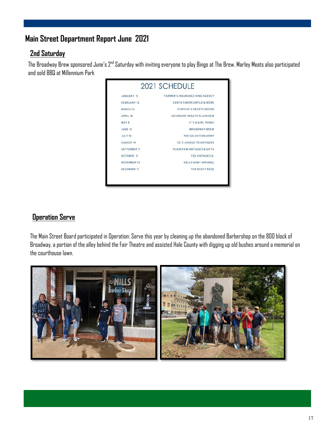### **Main Street Department Report June 2021**

#### **2nd Saturday**

The Broadway Brew sponsored June's 2<sup>nd</sup> Saturday with inviting everyone to play Bingo at The Brew. Marley Meats also participated and sold BBQ at Millennium Park



#### **Operation Serve**

The Main Street Board participated in Operation: Serve this year by cleaning up the abandoned Barbershop on the 800 block of Broadway, a portion of the alley behind the Fair Theatre and assisted Hale County with digging up old bushes around a memorial on the courthouse lawn.

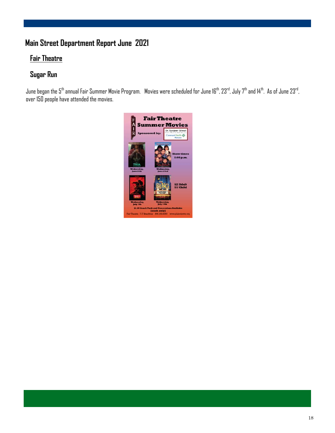### **Main Street Department Report June 2021**

### **Fair Theatre**

### **Sugar Run**

June began the  $5^{th}$  annual Fair Summer Movie Program. Movies were scheduled for June 16<sup>th</sup>, 23<sup>rd</sup>, July 7<sup>th</sup> and 14<sup>th</sup>. As of June 23<sup>rd</sup>, over 150 people have attended the movies.

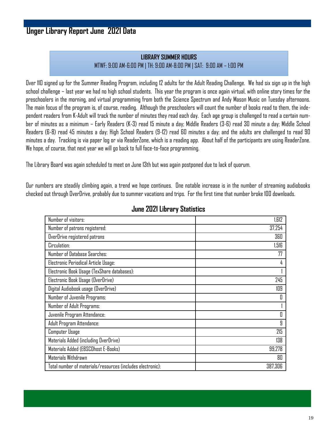### **Unger Library Report June 2021 Data**

#### **LIBRARY SUMMER HOURS** MTWF: 9:00 AM-6:00 PM | TH: 9:00 AM-8:00 PM | SAT: 9:00 AM – 1:00 PM

Over 110 signed up for the Summer Reading Program, including 12 adults for the Adult Reading Challenge. We had six sign up in the high school challenge – last year we had no high school students. This year the program is once again virtual, with online story times for the preschoolers in the morning, and virtual programming from both the Science Spectrum and Andy Mason Music on Tuesday afternoons. The main focus of the program is, of course, reading. Although the preschoolers will count the number of books read to them, the independent readers from K-Adult will track the number of minutes they read each day. Each age group is challenged to read a certain number of minutes as a minimum – Early Readers (K-3) read 15 minute a day; Middle Readers (3-6) read 30 minute a day; Middle School Readers (6-8) read 45 minutes a day; High School Readers (9-12) read 60 minutes a day; and the adults are challenged to read 90 minutes a day. Tracking is via paper log or via ReaderZone, which is a reading app. About half of the participants are using ReaderZone. We hope, of course, that next year we will go back to full face-to-face programming.

The Library Board was again scheduled to meet on June 13th but was again postponed due to lack of quorum.

Our numbers are steadily climbing again, a trend we hope continues. One notable increase is in the number of streaming audiobooks checked out through OverDrive, probably due to summer vacations and trips. For the first time that number broke 100 downloads.

| Number of visitors:                                        | 1,612   |
|------------------------------------------------------------|---------|
| Number of patrons registered:                              | 37,254  |
| OverDrive registered patrons                               | 360     |
| Circulation:                                               | 1,516   |
| Number of Database Searches:                               | 77      |
| Electronic Periodical Article Usage:                       | 4       |
| Electronic Book Usage (TexShare databases):                |         |
| Electronic Book Usage (OverDrive)                          | 245     |
| Digital Audiobook usage (OverDrive)                        | 109     |
| Number of Juvenile Programs:                               | Π       |
| Number of Adult Programs:                                  |         |
| Juvenile Program Attendance:                               | 0       |
| Adult Program Attendance:                                  | 9       |
| Computer Usage                                             | 215     |
| Materials Added (including OverDrive)                      | 138     |
| Materials Added (EBSCOhost E-Books)                        | 99,278  |
| Materials Withdrawn                                        | 80      |
| Total number of materials/resources (includes electronic): | 387,306 |

#### **June 2021 Library Statistics**